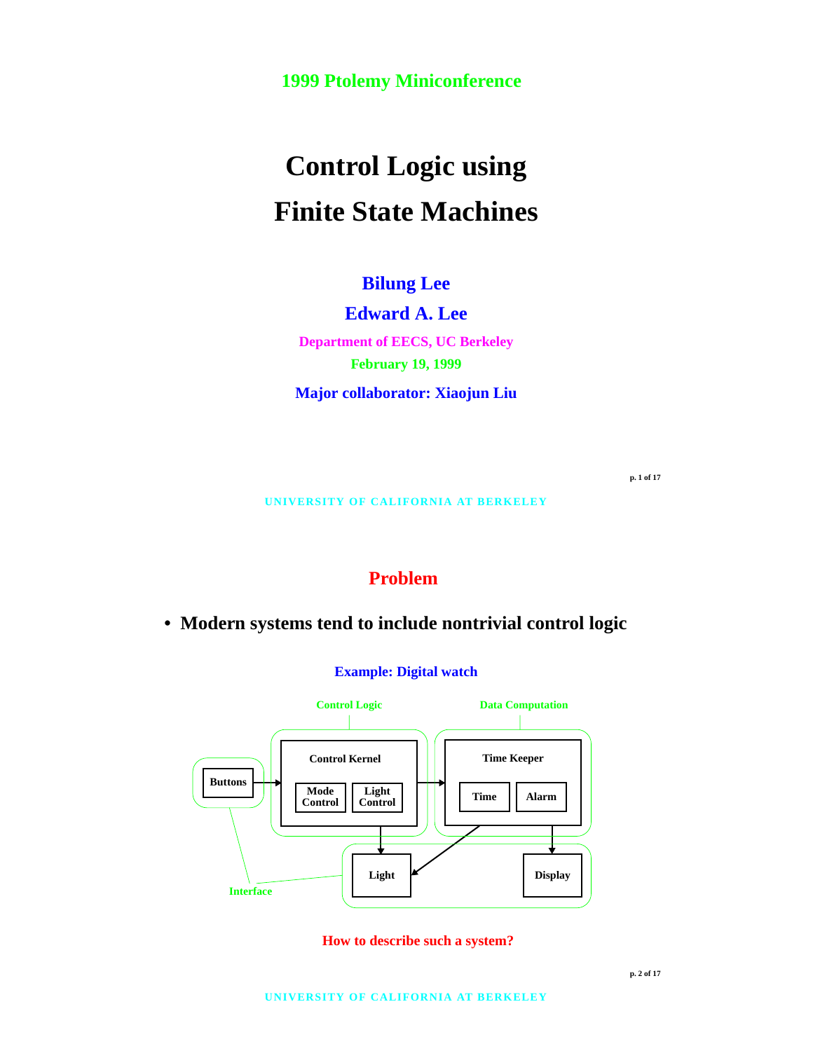**1999 Ptolemy Miniconference**

# **Control Logic using Finite State Machines**

**Bilung Lee**

**Edward A. Lee**

**Department of EECS, UC Berkeley February 19, 1999**

**Major collaborator: Xiaojun Liu**

**p. 1 of 17**

**UNIVERSITY OF CALIFORNIA AT BERKELEY**

# **Problem**

**• Modern systems tend to include nontrivial control logic**

**Example: Digital watch**



**How to describe such a system?**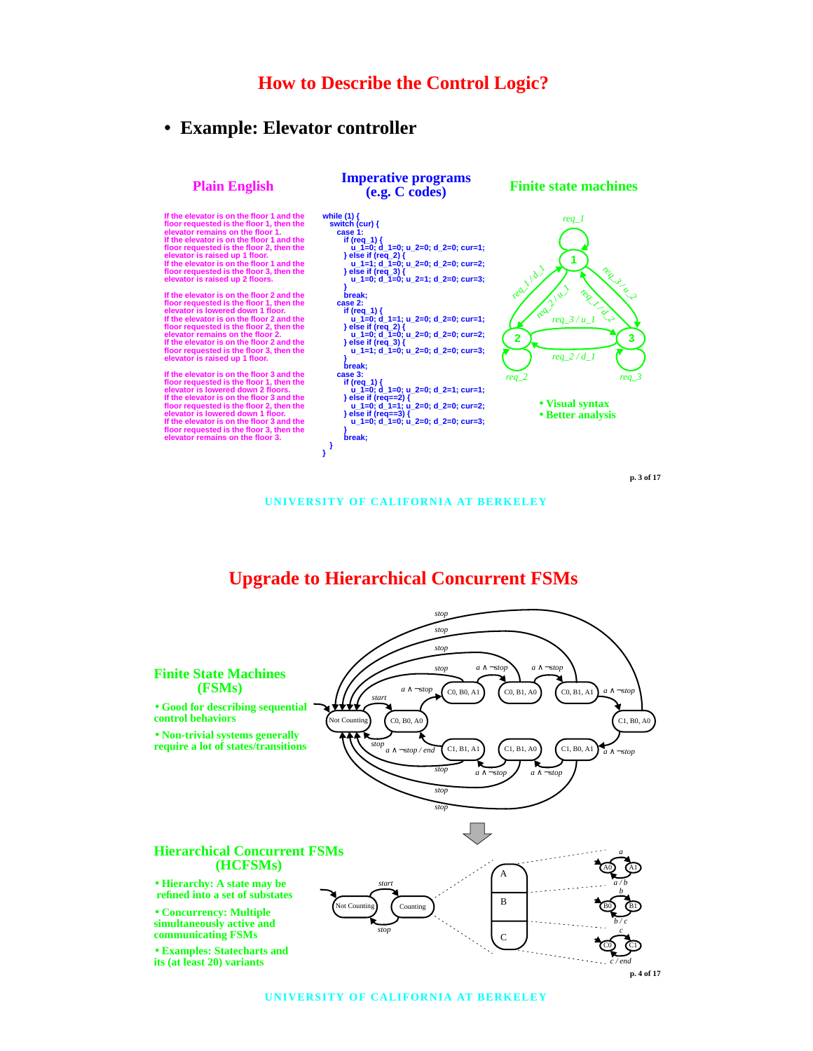#### **How to Describe the Control Logic?**

#### **• Example: Elevator controller**



**UNIVERSITY OF CALIFORNIA AT BERKELEY**

## **Upgrade to Hierarchical Concurrent FSMs**



**UNIVERSITY OF CALIFORNIA AT BERKELEY**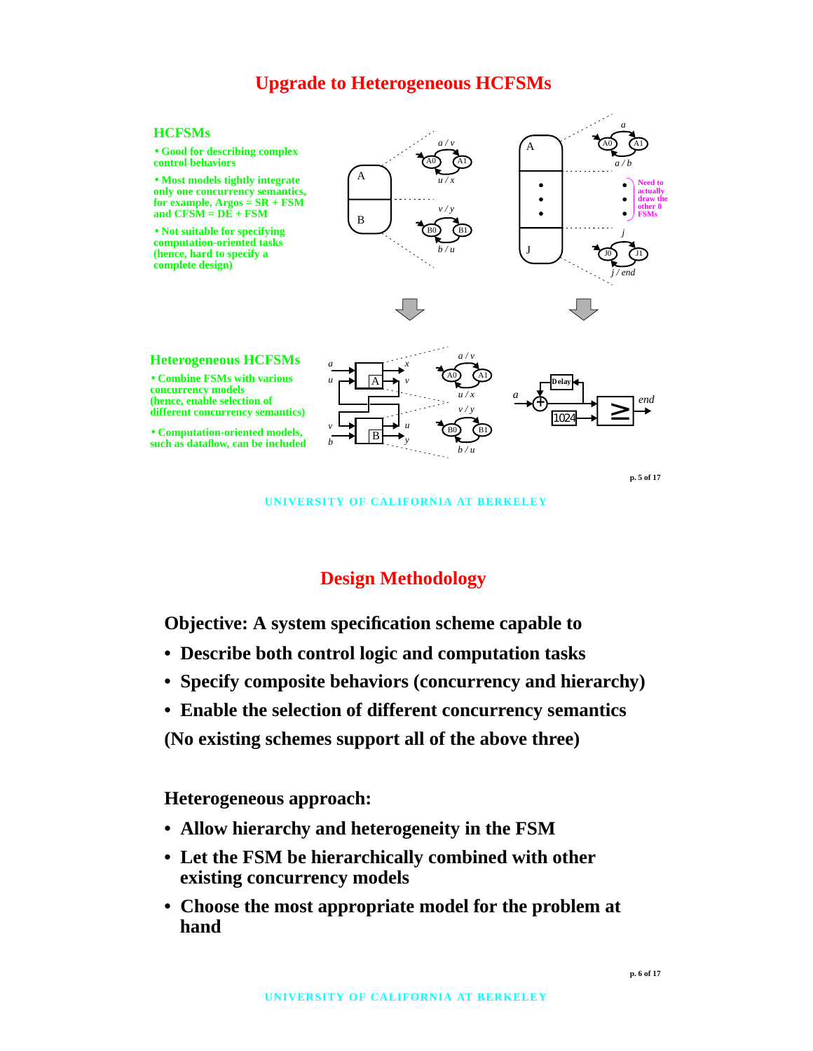## **Upgrade to Heterogeneous HCFSMs**

#### **HCFSMs**

• **Good for describing complex control behaviors**

• **Most models tightly integrate only one concurrency semantics, for example, Argos = SR + FSM** and  $CFS\tilde{M} = D\tilde{E} + FSM$ 

• **Not suitable for specifying computation-oriented tasks** (hence, hard to specify a **complete design)**







**p. 5 of 17**

**UNIVERSITY OF CALIFORNIA AT BERKELEY**

#### **Design Methodology**

**Objective: A system specification scheme capable to**

- **Describe both control logic and computation tasks**
- **Specify composite behaviors (concurrency and hierarchy)**
- **Enable the selection of different concurrency semantics**

**(No existing schemes support all of the above three)**

**Heterogeneous approach:**

- **Allow hierarchy and heterogeneity in the FSM**
- **Let the FSM be hierarchically combined with other existing concurrency models**
- **Choose the most appropriate model for the problem at hand**

**p. 6 of 17**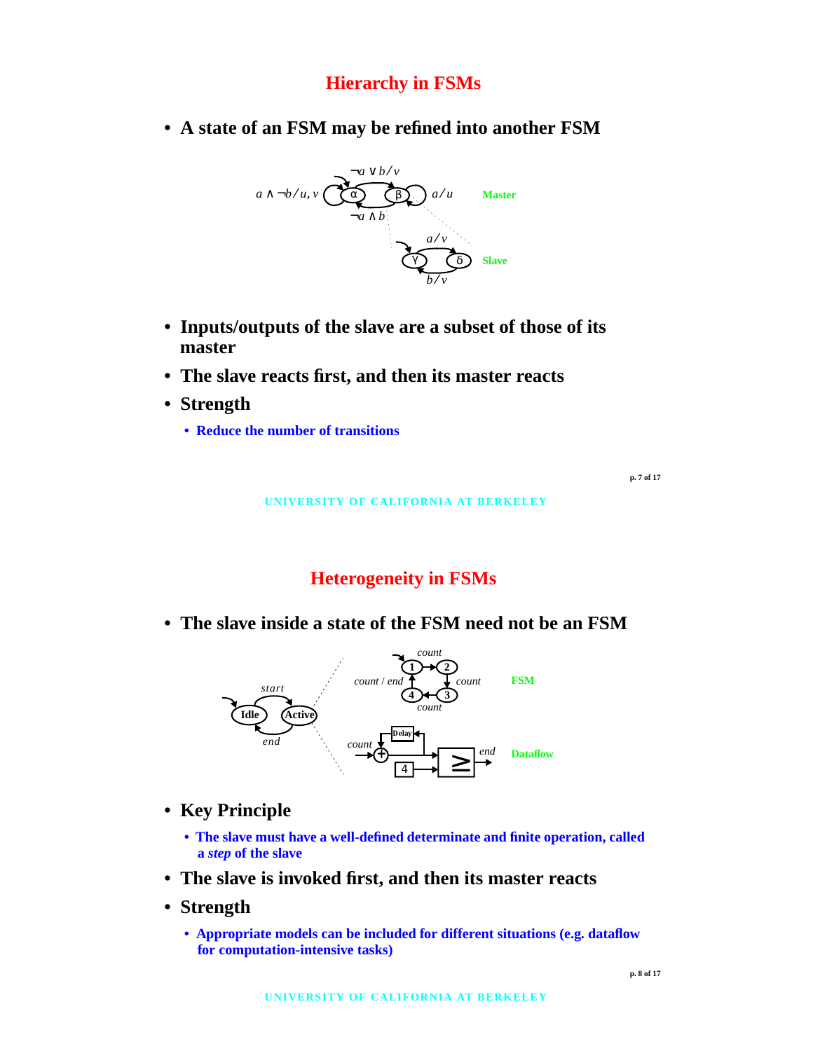# **Hierarchy in FSMs**

**• A state of an FSM may be refined into another FSM**



- **Inputs/outputs of the slave are a subset of those of its master**
- **The slave reacts first, and then its master reacts**
- **Strength**
	- **Reduce the number of transitions**

**p. 7 of 17**

**UNIVERSITY OF CALIFORNIA AT BERKELEY**

# **Heterogeneity in FSMs**

**• The slave inside a state of the FSM need not be an FSM**



- **Key Principle**
	- **The slave must have a well-defined determinate and finite operation, called a** *step* **of the slave**
- **The slave is invoked first, and then its master reacts**
- **Strength**
	- **Appropriate models can be included for different situations (e.g. dataflow for computation-intensive tasks)**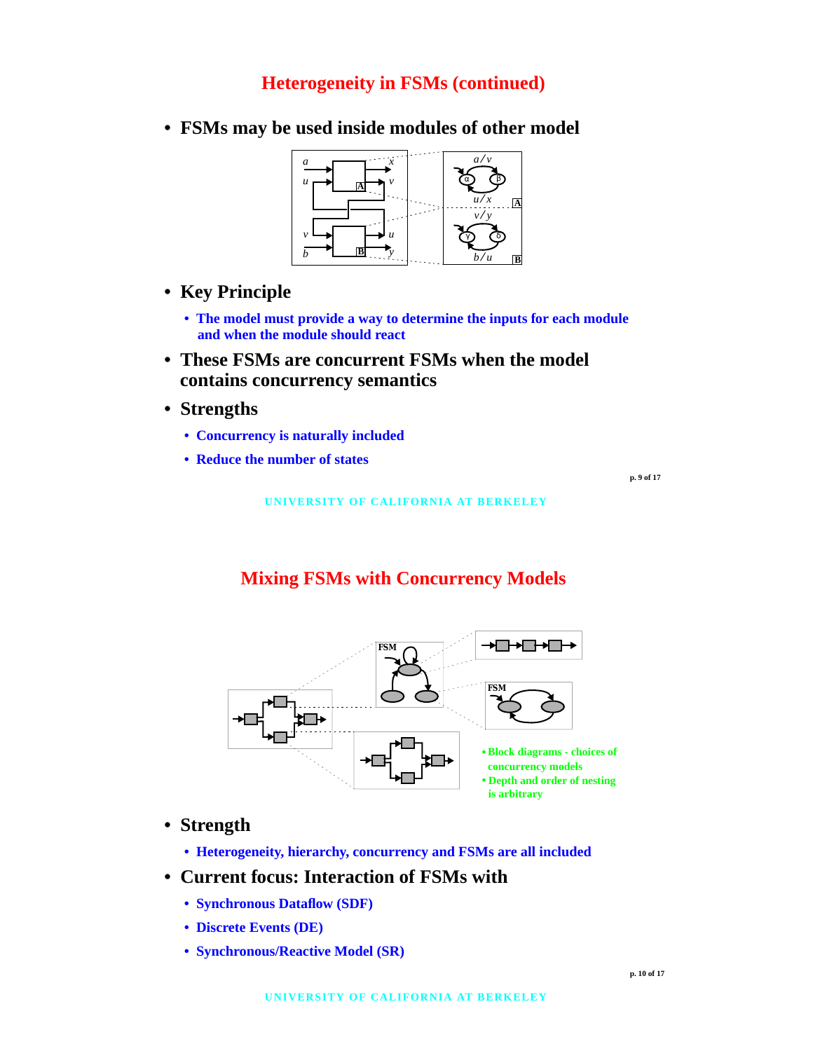#### **Heterogeneity in FSMs (continued)**

- **A** *a u x* **B B** α (β *a v*⁄ *u x*⁄ **<sup>A</sup>** *v v b u y* γ δ *v*/*y b u*⁄
- **FSMs may be used inside modules of other model**

- **Key Principle**
	- **The model must provide a way to determine the inputs for each module and when the module should react**
- **These FSMs are concurrent FSMs when the model contains concurrency semantics**
- **Strengths**
	- **Concurrency is naturally included**
	- **Reduce the number of states**

**p. 9 of 17**

#### **UNIVERSITY OF CALIFORNIA AT BERKELEY**

#### **Mixing FSMs with Concurrency Models**



#### **• Strength**

**• Heterogeneity, hierarchy, concurrency and FSMs are all included**

#### **• Current focus: Interaction of FSMs with**

- **Synchronous Dataflow (SDF)**
- **Discrete Events (DE)**
- **Synchronous/Reactive Model (SR)**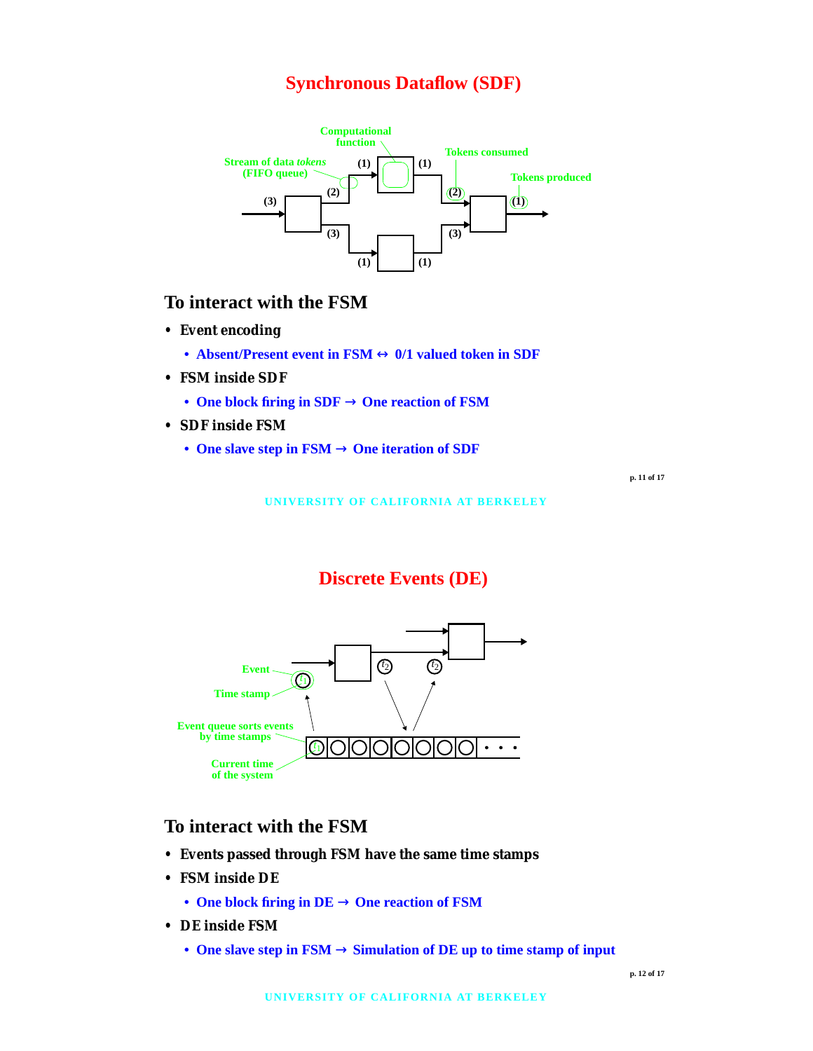#### **Synchronous Dataflow (SDF)**



#### **To interact with the FSM**

- **Event encoding**
	- **Absent/Present event in FSM** ↔ **0/1 valued token in SDF**
- **FSM inside SDF**
	- **One block firing in SDF** → **One reaction of FSM**
- **SDF inside FSM**
	- **One slave step in FSM** → **One iteration of SDF**

**p. 11 of 17**

**UNIVERSITY OF CALIFORNIA AT BERKELEY**

## **Discrete Events (DE)**



#### **To interact with the FSM**

- **Events passed through FSM have the same time stamps**
- **FSM inside DE**
	- **One block firing in DE** → **One reaction of FSM**
- **DE inside FSM**
	- **One slave step in FSM** → **Simulation of DE up to time stamp of input**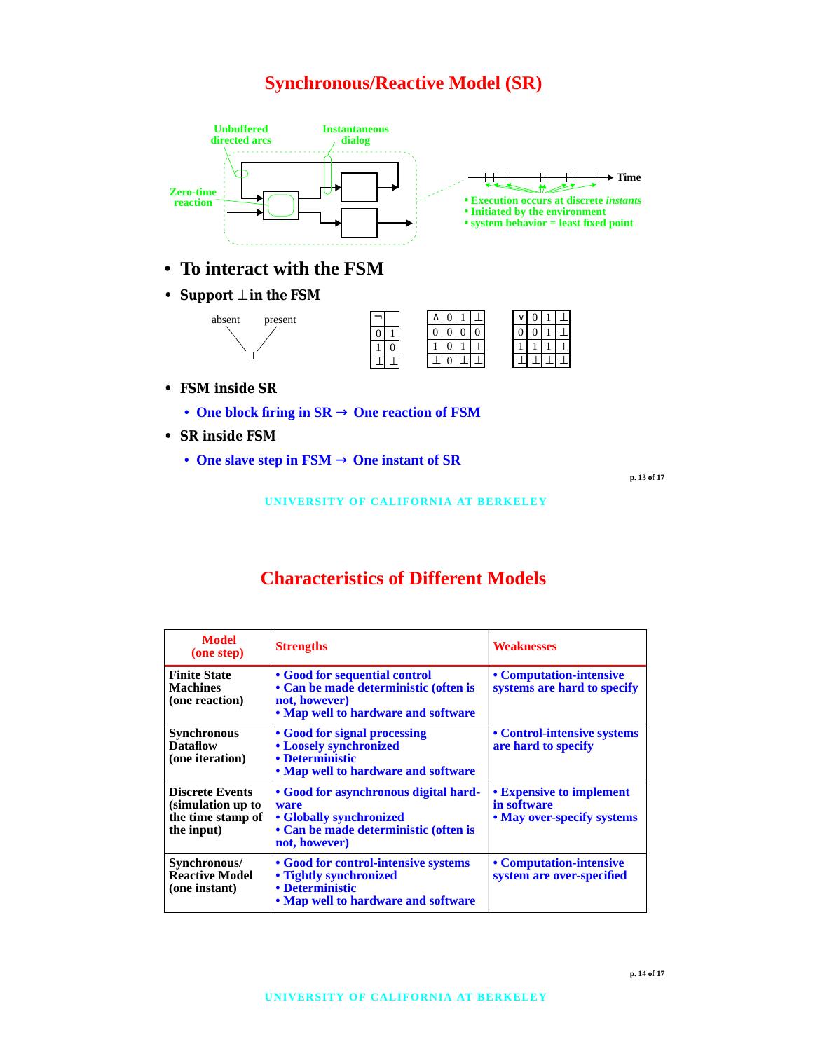# **Synchronous/Reactive Model (SR)**



- **To interact with the FSM**
- **Support** ⊥ **in the FSM**



- **FSM inside SR**
	- **One block firing in SR** → **One reaction of FSM**
- **SR inside FSM**
	- **One slave step in FSM** → **One instant of SR**

**p. 13 of 17**

**UNIVERSITY OF CALIFORNIA AT BERKELEY**

# **Characteristics of Different Models**

| <b>Model</b><br>(one step)                                                     | <b>Strengths</b>                                                                                                                   | <b>Weaknesses</b>                                                     |
|--------------------------------------------------------------------------------|------------------------------------------------------------------------------------------------------------------------------------|-----------------------------------------------------------------------|
| <b>Finite State</b><br><b>Machines</b><br>(one reaction)                       | • Good for sequential control<br>• Can be made deterministic (often is<br>not, however)<br>. Map well to hardware and software     | • Computation-intensive<br>systems are hard to specify                |
| <b>Synchronous</b><br><b>Dataflow</b><br>(one iteration)                       | • Good for signal processing<br>• Loosely synchronized<br>• Deterministic<br>• Map well to hardware and software                   | • Control-intensive systems<br>are hard to specify                    |
| <b>Discrete Events</b><br>(simulation up to<br>the time stamp of<br>the input) | • Good for asynchronous digital hard-<br>ware<br>• Globally synchronized<br>• Can be made deterministic (often is<br>not, however) | • Expensive to implement<br>in software<br>• May over-specify systems |
| Synchronous/<br><b>Reactive Model</b><br>(one instant)                         | • Good for control-intensive systems<br>• Tightly synchronized<br>• Deterministic<br>• Map well to hardware and software           | • Computation-intensive<br>system are over-specified                  |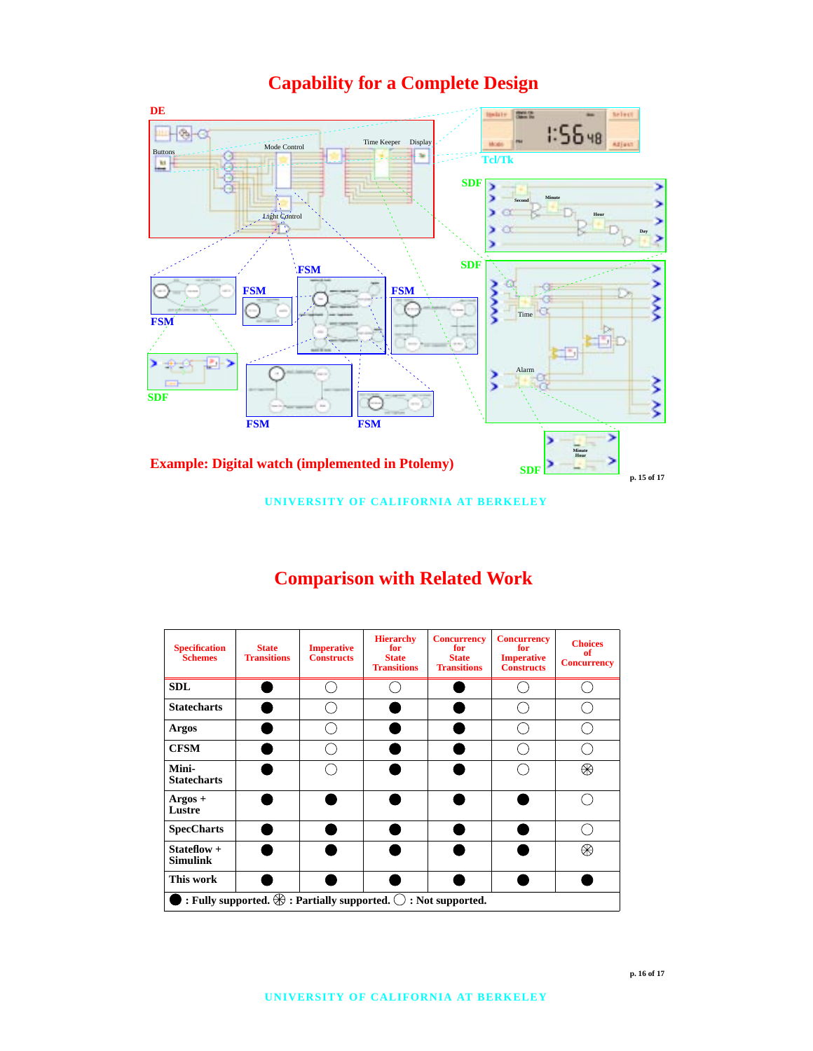# **Capability for a Complete Design**



**UNIVERSITY OF CALIFORNIA AT BERKELEY**

#### **Hierarchy Concurrency Concurrency Choices Imperative State for Specification Schemes for for of Imperative Transitions Constructs State State Concurrency Transitions Transitions Constructs SDL**  $\bigcirc$  $\bigcirc$  $\bigcirc$  $\bigcirc$  $\overline{\bigcirc}$  $\overline{\bigcirc}$ **Statecharts**  $\bullet$  $\bigcirc$  $\bullet$  $\overline{\bigcirc}$  $\overline{\bigcirc}$  $\overline{\bigcirc}$ **Argos CFSM**  $\overline{\bigcirc}$  $\overline{\bigcirc}$  $\overline{\bigcirc}$  $\bullet$  $\bullet$ **Mini-** $\overline{\bigcirc}$  $\overline{\bigcirc}$  $\overline{\circledast}$  $\bullet$ ● **Statecharts**  $\overline{\bigcirc}$  $\bullet$ **Argos + Lustre SpecCharts**  $\bullet$  $\bigcirc$ Œ **Stateflow +**  $\circledast$  $\bullet$ **Simulink**

 $\cdot$  **: Fully supported.**  $\bigoplus$  **: Partially supported.**  $\bigcirc$  **: Not supported.** 

 $\epsilon$ 

**This work**

# **Comparison with Related Work**

 $\bullet$ 

 $\bullet$